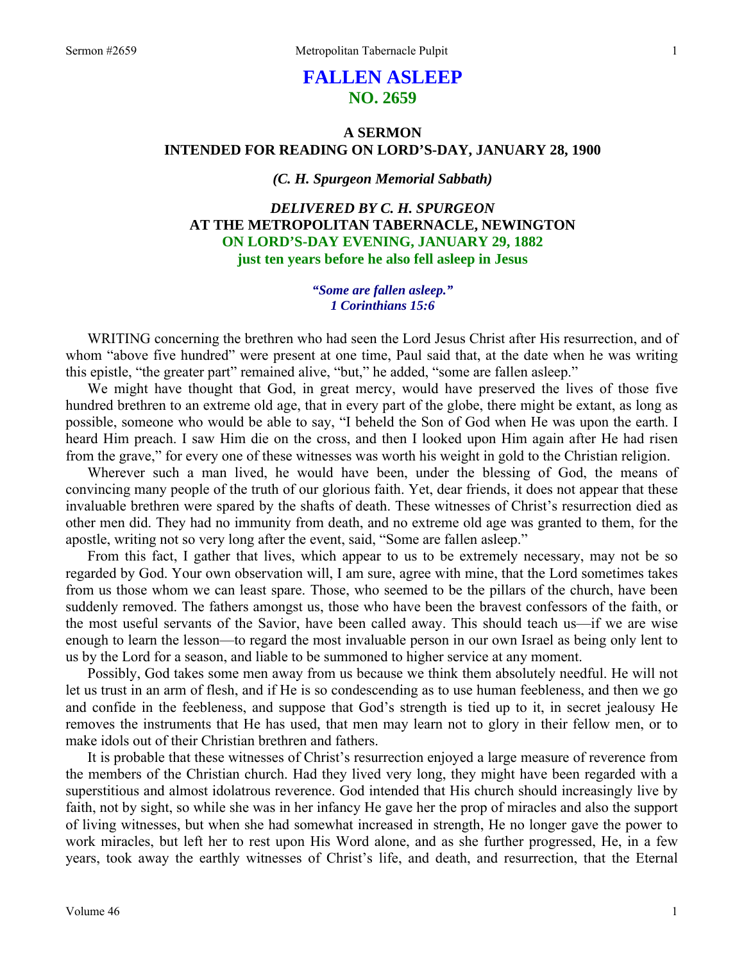# **FALLEN ASLEEP NO. 2659**

# **A SERMON INTENDED FOR READING ON LORD'S-DAY, JANUARY 28, 1900**

# *(C. H. Spurgeon Memorial Sabbath)*

*DELIVERED BY C. H. SPURGEON*  **AT THE METROPOLITAN TABERNACLE, NEWINGTON ON LORD'S-DAY EVENING, JANUARY 29, 1882 just ten years before he also fell asleep in Jesus** 

### *"Some are fallen asleep." 1 Corinthians 15:6*

WRITING concerning the brethren who had seen the Lord Jesus Christ after His resurrection, and of whom "above five hundred" were present at one time, Paul said that, at the date when he was writing this epistle, "the greater part" remained alive, "but," he added, "some are fallen asleep."

We might have thought that God, in great mercy, would have preserved the lives of those five hundred brethren to an extreme old age, that in every part of the globe, there might be extant, as long as possible, someone who would be able to say, "I beheld the Son of God when He was upon the earth. I heard Him preach. I saw Him die on the cross, and then I looked upon Him again after He had risen from the grave," for every one of these witnesses was worth his weight in gold to the Christian religion.

Wherever such a man lived, he would have been, under the blessing of God, the means of convincing many people of the truth of our glorious faith. Yet, dear friends, it does not appear that these invaluable brethren were spared by the shafts of death. These witnesses of Christ's resurrection died as other men did. They had no immunity from death, and no extreme old age was granted to them, for the apostle, writing not so very long after the event, said, "Some are fallen asleep."

From this fact, I gather that lives, which appear to us to be extremely necessary, may not be so regarded by God. Your own observation will, I am sure, agree with mine, that the Lord sometimes takes from us those whom we can least spare. Those, who seemed to be the pillars of the church, have been suddenly removed. The fathers amongst us, those who have been the bravest confessors of the faith, or the most useful servants of the Savior, have been called away. This should teach us—if we are wise enough to learn the lesson—to regard the most invaluable person in our own Israel as being only lent to us by the Lord for a season, and liable to be summoned to higher service at any moment.

Possibly, God takes some men away from us because we think them absolutely needful. He will not let us trust in an arm of flesh, and if He is so condescending as to use human feebleness, and then we go and confide in the feebleness, and suppose that God's strength is tied up to it, in secret jealousy He removes the instruments that He has used, that men may learn not to glory in their fellow men, or to make idols out of their Christian brethren and fathers.

It is probable that these witnesses of Christ's resurrection enjoyed a large measure of reverence from the members of the Christian church. Had they lived very long, they might have been regarded with a superstitious and almost idolatrous reverence. God intended that His church should increasingly live by faith, not by sight, so while she was in her infancy He gave her the prop of miracles and also the support of living witnesses, but when she had somewhat increased in strength, He no longer gave the power to work miracles, but left her to rest upon His Word alone, and as she further progressed, He, in a few years, took away the earthly witnesses of Christ's life, and death, and resurrection, that the Eternal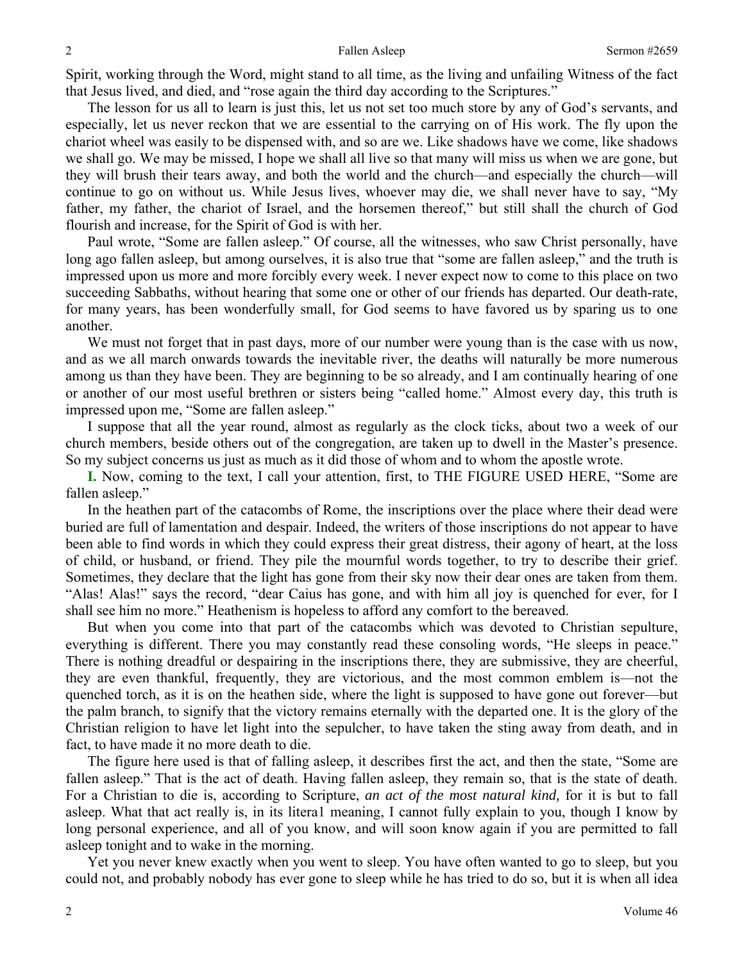Spirit, working through the Word, might stand to all time, as the living and unfailing Witness of the fact that Jesus lived, and died, and "rose again the third day according to the Scriptures."

The lesson for us all to learn is just this, let us not set too much store by any of God's servants, and especially, let us never reckon that we are essential to the carrying on of His work. The fly upon the chariot wheel was easily to be dispensed with, and so are we. Like shadows have we come, like shadows we shall go. We may be missed, I hope we shall all live so that many will miss us when we are gone, but they will brush their tears away, and both the world and the church—and especially the church—will continue to go on without us. While Jesus lives, whoever may die, we shall never have to say, "My father, my father, the chariot of Israel, and the horsemen thereof," but still shall the church of God flourish and increase, for the Spirit of God is with her.

Paul wrote, "Some are fallen asleep." Of course, all the witnesses, who saw Christ personally, have long ago fallen asleep, but among ourselves, it is also true that "some are fallen asleep," and the truth is impressed upon us more and more forcibly every week. I never expect now to come to this place on two succeeding Sabbaths, without hearing that some one or other of our friends has departed. Our death-rate, for many years, has been wonderfully small, for God seems to have favored us by sparing us to one another.

We must not forget that in past days, more of our number were young than is the case with us now, and as we all march onwards towards the inevitable river, the deaths will naturally be more numerous among us than they have been. They are beginning to be so already, and I am continually hearing of one or another of our most useful brethren or sisters being "called home." Almost every day, this truth is impressed upon me, "Some are fallen asleep."

I suppose that all the year round, almost as regularly as the clock ticks, about two a week of our church members, beside others out of the congregation, are taken up to dwell in the Master's presence. So my subject concerns us just as much as it did those of whom and to whom the apostle wrote.

**I.** Now, coming to the text, I call your attention, first, to THE FIGURE USED HERE, "Some are fallen asleep."

In the heathen part of the catacombs of Rome, the inscriptions over the place where their dead were buried are full of lamentation and despair. Indeed, the writers of those inscriptions do not appear to have been able to find words in which they could express their great distress, their agony of heart, at the loss of child, or husband, or friend. They pile the mournful words together, to try to describe their grief. Sometimes, they declare that the light has gone from their sky now their dear ones are taken from them. "Alas! Alas!" says the record, "dear Caius has gone, and with him all joy is quenched for ever, for I shall see him no more." Heathenism is hopeless to afford any comfort to the bereaved.

But when you come into that part of the catacombs which was devoted to Christian sepulture, everything is different. There you may constantly read these consoling words, "He sleeps in peace." There is nothing dreadful or despairing in the inscriptions there, they are submissive, they are cheerful, they are even thankful, frequently, they are victorious, and the most common emblem is—not the quenched torch, as it is on the heathen side, where the light is supposed to have gone out forever—but the palm branch, to signify that the victory remains eternally with the departed one. It is the glory of the Christian religion to have let light into the sepulcher, to have taken the sting away from death, and in fact, to have made it no more death to die.

The figure here used is that of falling asleep, it describes first the act, and then the state, "Some are fallen asleep." That is the act of death. Having fallen asleep, they remain so, that is the state of death. For a Christian to die is, according to Scripture, *an act of the most natural kind,* for it is but to fall asleep. What that act really is, in its litera1 meaning, I cannot fully explain to you, though I know by long personal experience, and all of you know, and will soon know again if you are permitted to fall asleep tonight and to wake in the morning.

Yet you never knew exactly when you went to sleep. You have often wanted to go to sleep, but you could not, and probably nobody has ever gone to sleep while he has tried to do so, but it is when all idea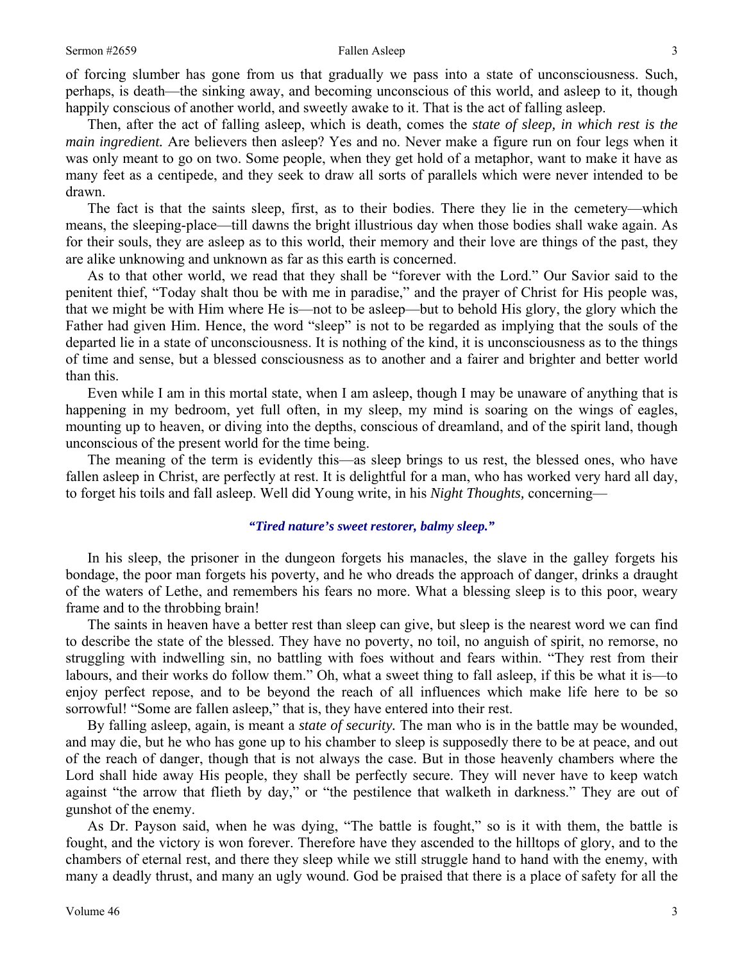of forcing slumber has gone from us that gradually we pass into a state of unconsciousness. Such, perhaps, is death—the sinking away, and becoming unconscious of this world, and asleep to it, though happily conscious of another world, and sweetly awake to it. That is the act of falling asleep.

Then, after the act of falling asleep, which is death, comes the *state of sleep, in which rest is the main ingredient.* Are believers then asleep? Yes and no. Never make a figure run on four legs when it was only meant to go on two. Some people, when they get hold of a metaphor, want to make it have as many feet as a centipede, and they seek to draw all sorts of parallels which were never intended to be drawn.

The fact is that the saints sleep, first, as to their bodies. There they lie in the cemetery—which means, the sleeping-place—till dawns the bright illustrious day when those bodies shall wake again. As for their souls, they are asleep as to this world, their memory and their love are things of the past, they are alike unknowing and unknown as far as this earth is concerned.

As to that other world, we read that they shall be "forever with the Lord." Our Savior said to the penitent thief, "Today shalt thou be with me in paradise," and the prayer of Christ for His people was, that we might be with Him where He is—not to be asleep—but to behold His glory, the glory which the Father had given Him. Hence, the word "sleep" is not to be regarded as implying that the souls of the departed lie in a state of unconsciousness. It is nothing of the kind, it is unconsciousness as to the things of time and sense, but a blessed consciousness as to another and a fairer and brighter and better world than this.

Even while I am in this mortal state, when I am asleep, though I may be unaware of anything that is happening in my bedroom, yet full often, in my sleep, my mind is soaring on the wings of eagles, mounting up to heaven, or diving into the depths, conscious of dreamland, and of the spirit land, though unconscious of the present world for the time being.

The meaning of the term is evidently this—as sleep brings to us rest, the blessed ones, who have fallen asleep in Christ, are perfectly at rest. It is delightful for a man, who has worked very hard all day, to forget his toils and fall asleep. Well did Young write, in his *Night Thoughts,* concerning—

### *"Tired nature's sweet restorer, balmy sleep."*

In his sleep, the prisoner in the dungeon forgets his manacles, the slave in the galley forgets his bondage, the poor man forgets his poverty, and he who dreads the approach of danger, drinks a draught of the waters of Lethe, and remembers his fears no more. What a blessing sleep is to this poor, weary frame and to the throbbing brain!

The saints in heaven have a better rest than sleep can give, but sleep is the nearest word we can find to describe the state of the blessed. They have no poverty, no toil, no anguish of spirit, no remorse, no struggling with indwelling sin, no battling with foes without and fears within. "They rest from their labours, and their works do follow them." Oh, what a sweet thing to fall asleep, if this be what it is—to enjoy perfect repose, and to be beyond the reach of all influences which make life here to be so sorrowful! "Some are fallen asleep," that is, they have entered into their rest.

By falling asleep, again, is meant a *state of security.* The man who is in the battle may be wounded, and may die, but he who has gone up to his chamber to sleep is supposedly there to be at peace, and out of the reach of danger, though that is not always the case. But in those heavenly chambers where the Lord shall hide away His people, they shall be perfectly secure. They will never have to keep watch against "the arrow that flieth by day," or "the pestilence that walketh in darkness." They are out of gunshot of the enemy.

As Dr. Payson said, when he was dying, "The battle is fought," so is it with them, the battle is fought, and the victory is won forever. Therefore have they ascended to the hilltops of glory, and to the chambers of eternal rest, and there they sleep while we still struggle hand to hand with the enemy, with many a deadly thrust, and many an ugly wound. God be praised that there is a place of safety for all the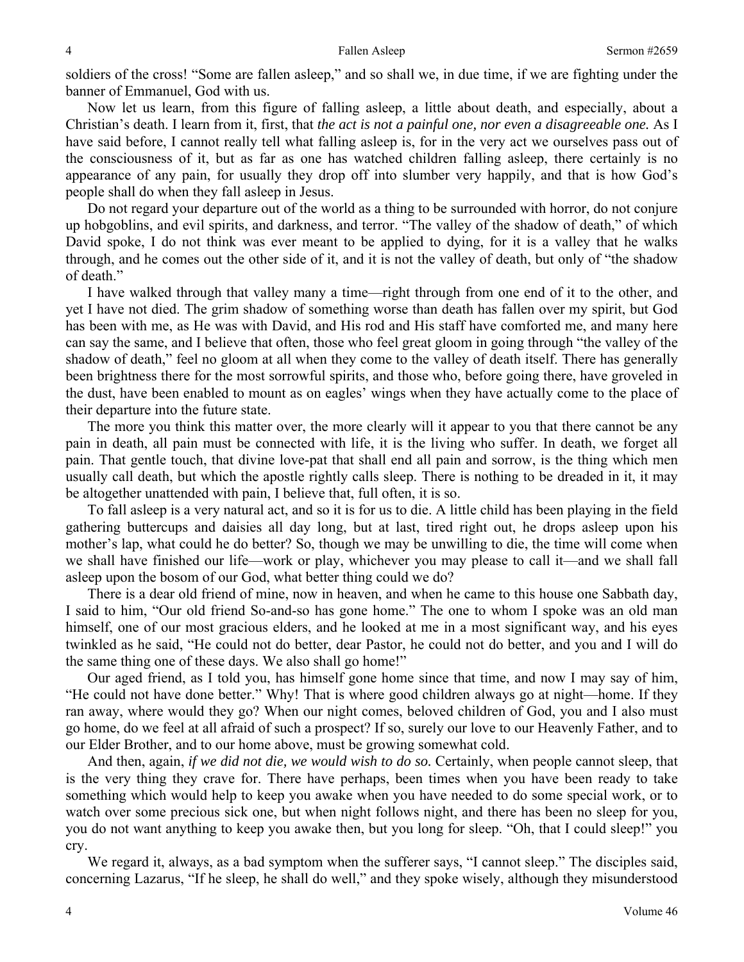soldiers of the cross! "Some are fallen asleep," and so shall we, in due time, if we are fighting under the banner of Emmanuel, God with us.

Now let us learn, from this figure of falling asleep, a little about death, and especially, about a Christian's death. I learn from it, first, that *the act is not a painful one, nor even a disagreeable one.* As I have said before, I cannot really tell what falling asleep is, for in the very act we ourselves pass out of the consciousness of it, but as far as one has watched children falling asleep, there certainly is no appearance of any pain, for usually they drop off into slumber very happily, and that is how God's people shall do when they fall asleep in Jesus.

Do not regard your departure out of the world as a thing to be surrounded with horror, do not conjure up hobgoblins, and evil spirits, and darkness, and terror. "The valley of the shadow of death," of which David spoke, I do not think was ever meant to be applied to dying, for it is a valley that he walks through, and he comes out the other side of it, and it is not the valley of death, but only of "the shadow of death."

I have walked through that valley many a time—right through from one end of it to the other, and yet I have not died. The grim shadow of something worse than death has fallen over my spirit, but God has been with me, as He was with David, and His rod and His staff have comforted me, and many here can say the same, and I believe that often, those who feel great gloom in going through "the valley of the shadow of death," feel no gloom at all when they come to the valley of death itself. There has generally been brightness there for the most sorrowful spirits, and those who, before going there, have groveled in the dust, have been enabled to mount as on eagles' wings when they have actually come to the place of their departure into the future state.

The more you think this matter over, the more clearly will it appear to you that there cannot be any pain in death, all pain must be connected with life, it is the living who suffer. In death, we forget all pain. That gentle touch, that divine love-pat that shall end all pain and sorrow, is the thing which men usually call death, but which the apostle rightly calls sleep. There is nothing to be dreaded in it, it may be altogether unattended with pain, I believe that, full often, it is so.

To fall asleep is a very natural act, and so it is for us to die. A little child has been playing in the field gathering buttercups and daisies all day long, but at last, tired right out, he drops asleep upon his mother's lap, what could he do better? So, though we may be unwilling to die, the time will come when we shall have finished our life—work or play, whichever you may please to call it—and we shall fall asleep upon the bosom of our God, what better thing could we do?

There is a dear old friend of mine, now in heaven, and when he came to this house one Sabbath day, I said to him, "Our old friend So-and-so has gone home." The one to whom I spoke was an old man himself, one of our most gracious elders, and he looked at me in a most significant way, and his eyes twinkled as he said, "He could not do better, dear Pastor, he could not do better, and you and I will do the same thing one of these days. We also shall go home!"

Our aged friend, as I told you, has himself gone home since that time, and now I may say of him, "He could not have done better." Why! That is where good children always go at night—home. If they ran away, where would they go? When our night comes, beloved children of God, you and I also must go home, do we feel at all afraid of such a prospect? If so, surely our love to our Heavenly Father, and to our Elder Brother, and to our home above, must be growing somewhat cold.

And then, again, *if we did not die, we would wish to do so.* Certainly, when people cannot sleep, that is the very thing they crave for. There have perhaps, been times when you have been ready to take something which would help to keep you awake when you have needed to do some special work, or to watch over some precious sick one, but when night follows night, and there has been no sleep for you, you do not want anything to keep you awake then, but you long for sleep. "Oh, that I could sleep!" you cry.

We regard it, always, as a bad symptom when the sufferer says, "I cannot sleep." The disciples said, concerning Lazarus, "If he sleep, he shall do well," and they spoke wisely, although they misunderstood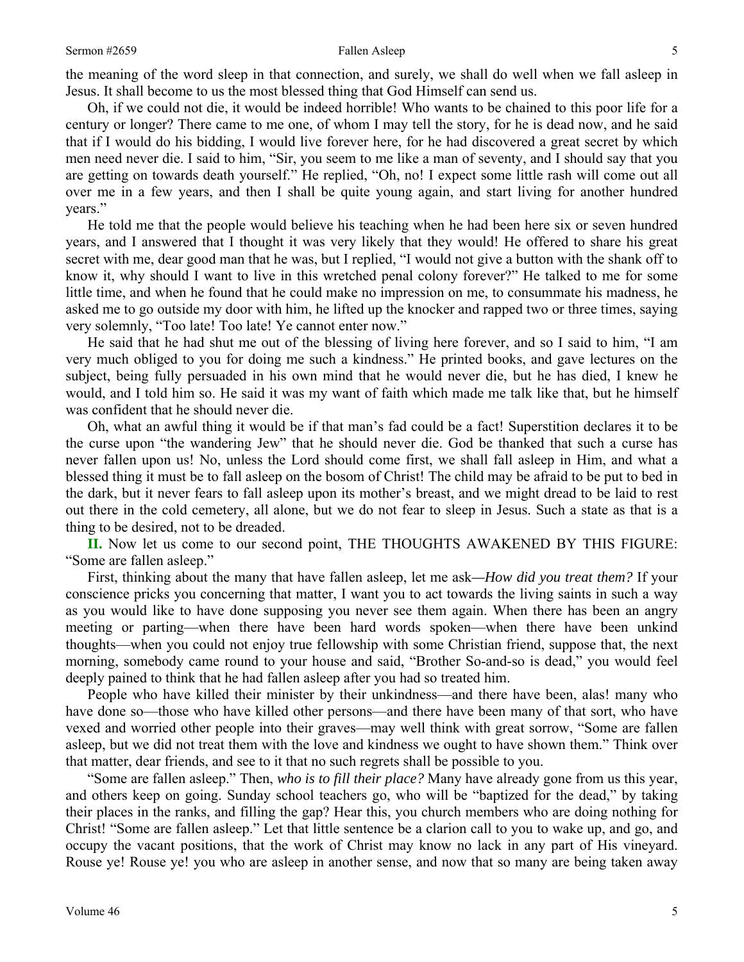Oh, if we could not die, it would be indeed horrible! Who wants to be chained to this poor life for a century or longer? There came to me one, of whom I may tell the story, for he is dead now, and he said that if I would do his bidding, I would live forever here, for he had discovered a great secret by which men need never die. I said to him, "Sir, you seem to me like a man of seventy, and I should say that you are getting on towards death yourself." He replied, "Oh, no! I expect some little rash will come out all over me in a few years, and then I shall be quite young again, and start living for another hundred years."

He told me that the people would believe his teaching when he had been here six or seven hundred years, and I answered that I thought it was very likely that they would! He offered to share his great secret with me, dear good man that he was, but I replied, "I would not give a button with the shank off to know it, why should I want to live in this wretched penal colony forever?" He talked to me for some little time, and when he found that he could make no impression on me, to consummate his madness, he asked me to go outside my door with him, he lifted up the knocker and rapped two or three times, saying very solemnly, "Too late! Too late! Ye cannot enter now."

He said that he had shut me out of the blessing of living here forever, and so I said to him, "I am very much obliged to you for doing me such a kindness." He printed books, and gave lectures on the subject, being fully persuaded in his own mind that he would never die, but he has died, I knew he would, and I told him so. He said it was my want of faith which made me talk like that, but he himself was confident that he should never die.

Oh, what an awful thing it would be if that man's fad could be a fact! Superstition declares it to be the curse upon "the wandering Jew" that he should never die. God be thanked that such a curse has never fallen upon us! No, unless the Lord should come first, we shall fall asleep in Him, and what a blessed thing it must be to fall asleep on the bosom of Christ! The child may be afraid to be put to bed in the dark, but it never fears to fall asleep upon its mother's breast, and we might dread to be laid to rest out there in the cold cemetery, all alone, but we do not fear to sleep in Jesus. Such a state as that is a thing to be desired, not to be dreaded.

**II.** Now let us come to our second point, THE THOUGHTS AWAKENED BY THIS FIGURE: "Some are fallen asleep."

First, thinking about the many that have fallen asleep, let me ask*—How did you treat them?* If your conscience pricks you concerning that matter, I want you to act towards the living saints in such a way as you would like to have done supposing you never see them again. When there has been an angry meeting or parting—when there have been hard words spoken—when there have been unkind thoughts—when you could not enjoy true fellowship with some Christian friend, suppose that, the next morning, somebody came round to your house and said, "Brother So-and-so is dead," you would feel deeply pained to think that he had fallen asleep after you had so treated him.

People who have killed their minister by their unkindness—and there have been, alas! many who have done so—those who have killed other persons—and there have been many of that sort, who have vexed and worried other people into their graves—may well think with great sorrow, "Some are fallen asleep, but we did not treat them with the love and kindness we ought to have shown them." Think over that matter, dear friends, and see to it that no such regrets shall be possible to you.

"Some are fallen asleep." Then, *who is to fill their place?* Many have already gone from us this year, and others keep on going. Sunday school teachers go, who will be "baptized for the dead," by taking their places in the ranks, and filling the gap? Hear this, you church members who are doing nothing for Christ! "Some are fallen asleep." Let that little sentence be a clarion call to you to wake up, and go, and occupy the vacant positions, that the work of Christ may know no lack in any part of His vineyard. Rouse ye! Rouse ye! you who are asleep in another sense, and now that so many are being taken away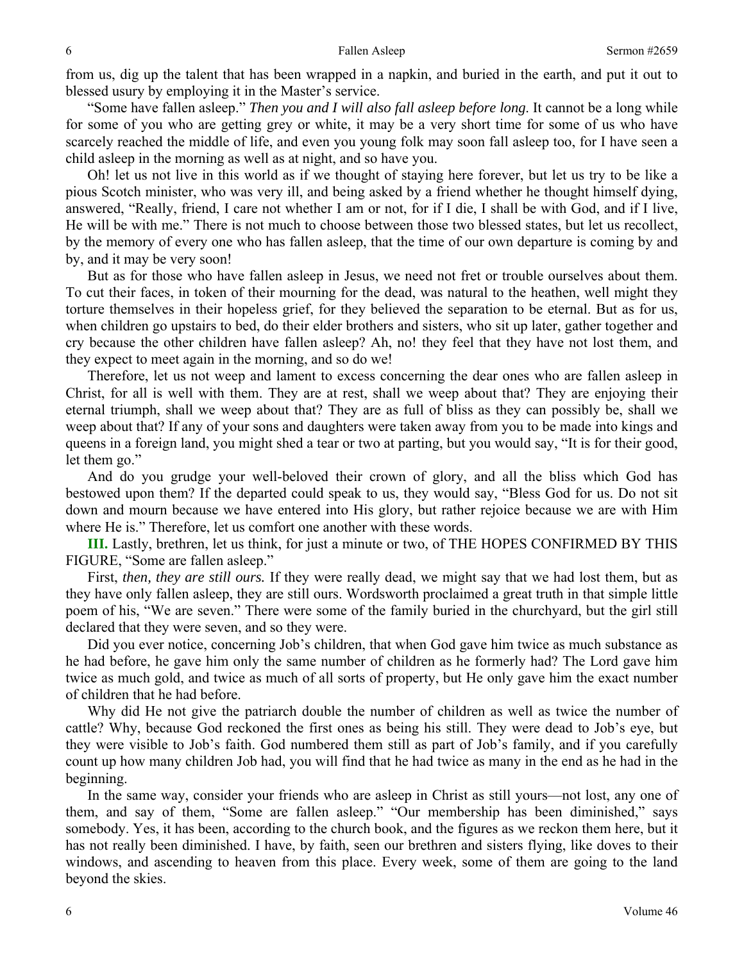from us, dig up the talent that has been wrapped in a napkin, and buried in the earth, and put it out to blessed usury by employing it in the Master's service.

"Some have fallen asleep." *Then you and I will also fall asleep before long*. It cannot be a long while for some of you who are getting grey or white, it may be a very short time for some of us who have scarcely reached the middle of life, and even you young folk may soon fall asleep too, for I have seen a child asleep in the morning as well as at night, and so have you.

Oh! let us not live in this world as if we thought of staying here forever, but let us try to be like a pious Scotch minister, who was very ill, and being asked by a friend whether he thought himself dying, answered, "Really, friend, I care not whether I am or not, for if I die, I shall be with God, and if I live, He will be with me." There is not much to choose between those two blessed states, but let us recollect, by the memory of every one who has fallen asleep, that the time of our own departure is coming by and by, and it may be very soon!

But as for those who have fallen asleep in Jesus, we need not fret or trouble ourselves about them. To cut their faces, in token of their mourning for the dead, was natural to the heathen, well might they torture themselves in their hopeless grief, for they believed the separation to be eternal. But as for us, when children go upstairs to bed, do their elder brothers and sisters, who sit up later, gather together and cry because the other children have fallen asleep? Ah, no! they feel that they have not lost them, and they expect to meet again in the morning, and so do we!

Therefore, let us not weep and lament to excess concerning the dear ones who are fallen asleep in Christ, for all is well with them. They are at rest, shall we weep about that? They are enjoying their eternal triumph, shall we weep about that? They are as full of bliss as they can possibly be, shall we weep about that? If any of your sons and daughters were taken away from you to be made into kings and queens in a foreign land, you might shed a tear or two at parting, but you would say, "It is for their good, let them go."

And do you grudge your well-beloved their crown of glory, and all the bliss which God has bestowed upon them? If the departed could speak to us, they would say, "Bless God for us. Do not sit down and mourn because we have entered into His glory, but rather rejoice because we are with Him where He is." Therefore, let us comfort one another with these words.

**III.** Lastly, brethren, let us think, for just a minute or two, of THE HOPES CONFIRMED BY THIS FIGURE, "Some are fallen asleep."

First, *then, they are still ours.* If they were really dead, we might say that we had lost them, but as they have only fallen asleep, they are still ours. Wordsworth proclaimed a great truth in that simple little poem of his, "We are seven." There were some of the family buried in the churchyard, but the girl still declared that they were seven, and so they were.

Did you ever notice, concerning Job's children, that when God gave him twice as much substance as he had before, he gave him only the same number of children as he formerly had? The Lord gave him twice as much gold, and twice as much of all sorts of property, but He only gave him the exact number of children that he had before.

Why did He not give the patriarch double the number of children as well as twice the number of cattle? Why, because God reckoned the first ones as being his still. They were dead to Job's eye, but they were visible to Job's faith. God numbered them still as part of Job's family, and if you carefully count up how many children Job had, you will find that he had twice as many in the end as he had in the beginning.

In the same way, consider your friends who are asleep in Christ as still yours—not lost, any one of them, and say of them, "Some are fallen asleep." "Our membership has been diminished," says somebody. Yes, it has been, according to the church book, and the figures as we reckon them here, but it has not really been diminished. I have, by faith, seen our brethren and sisters flying, like doves to their windows, and ascending to heaven from this place. Every week, some of them are going to the land beyond the skies.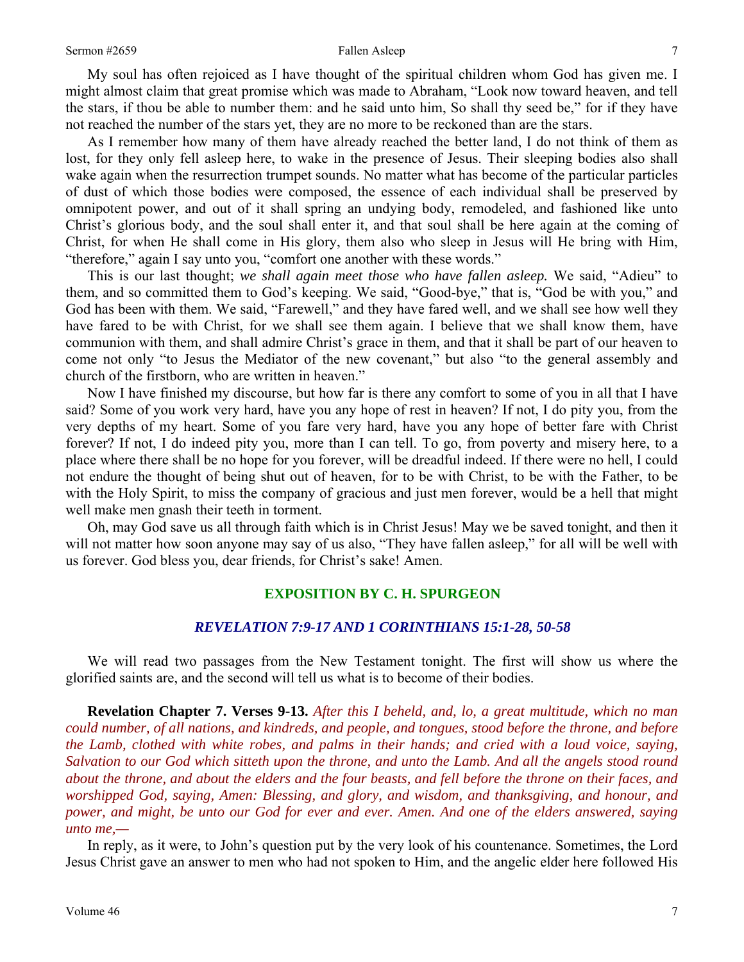My soul has often rejoiced as I have thought of the spiritual children whom God has given me. I might almost claim that great promise which was made to Abraham, "Look now toward heaven, and tell the stars, if thou be able to number them: and he said unto him, So shall thy seed be," for if they have not reached the number of the stars yet, they are no more to be reckoned than are the stars.

As I remember how many of them have already reached the better land, I do not think of them as lost, for they only fell asleep here, to wake in the presence of Jesus. Their sleeping bodies also shall wake again when the resurrection trumpet sounds. No matter what has become of the particular particles of dust of which those bodies were composed, the essence of each individual shall be preserved by omnipotent power, and out of it shall spring an undying body, remodeled, and fashioned like unto Christ's glorious body, and the soul shall enter it, and that soul shall be here again at the coming of Christ, for when He shall come in His glory, them also who sleep in Jesus will He bring with Him, "therefore," again I say unto you, "comfort one another with these words."

This is our last thought; *we shall again meet those who have fallen asleep.* We said, "Adieu" to them, and so committed them to God's keeping. We said, "Good-bye," that is, "God be with you," and God has been with them. We said, "Farewell," and they have fared well, and we shall see how well they have fared to be with Christ, for we shall see them again. I believe that we shall know them, have communion with them, and shall admire Christ's grace in them, and that it shall be part of our heaven to come not only "to Jesus the Mediator of the new covenant," but also "to the general assembly and church of the firstborn, who are written in heaven."

Now I have finished my discourse, but how far is there any comfort to some of you in all that I have said? Some of you work very hard, have you any hope of rest in heaven? If not, I do pity you, from the very depths of my heart. Some of you fare very hard, have you any hope of better fare with Christ forever? If not, I do indeed pity you, more than I can tell. To go, from poverty and misery here, to a place where there shall be no hope for you forever, will be dreadful indeed. If there were no hell, I could not endure the thought of being shut out of heaven, for to be with Christ, to be with the Father, to be with the Holy Spirit, to miss the company of gracious and just men forever, would be a hell that might well make men gnash their teeth in torment.

Oh, may God save us all through faith which is in Christ Jesus! May we be saved tonight, and then it will not matter how soon anyone may say of us also, "They have fallen asleep," for all will be well with us forever. God bless you, dear friends, for Christ's sake! Amen.

### **EXPOSITION BY C. H. SPURGEON**

### *REVELATION 7:9-17 AND 1 CORINTHIANS 15:1-28, 50-58*

We will read two passages from the New Testament tonight. The first will show us where the glorified saints are, and the second will tell us what is to become of their bodies.

**Revelation Chapter 7. Verses 9-13.** *After this I beheld, and, lo, a great multitude, which no man could number, of all nations, and kindreds, and people, and tongues, stood before the throne, and before the Lamb, clothed with white robes, and palms in their hands; and cried with a loud voice, saying, Salvation to our God which sitteth upon the throne, and unto the Lamb. And all the angels stood round about the throne, and about the elders and the four beasts, and fell before the throne on their faces, and worshipped God, saying, Amen: Blessing, and glory, and wisdom, and thanksgiving, and honour, and power, and might, be unto our God for ever and ever. Amen. And one of the elders answered, saying unto me,—* 

In reply, as it were, to John's question put by the very look of his countenance. Sometimes, the Lord Jesus Christ gave an answer to men who had not spoken to Him, and the angelic elder here followed His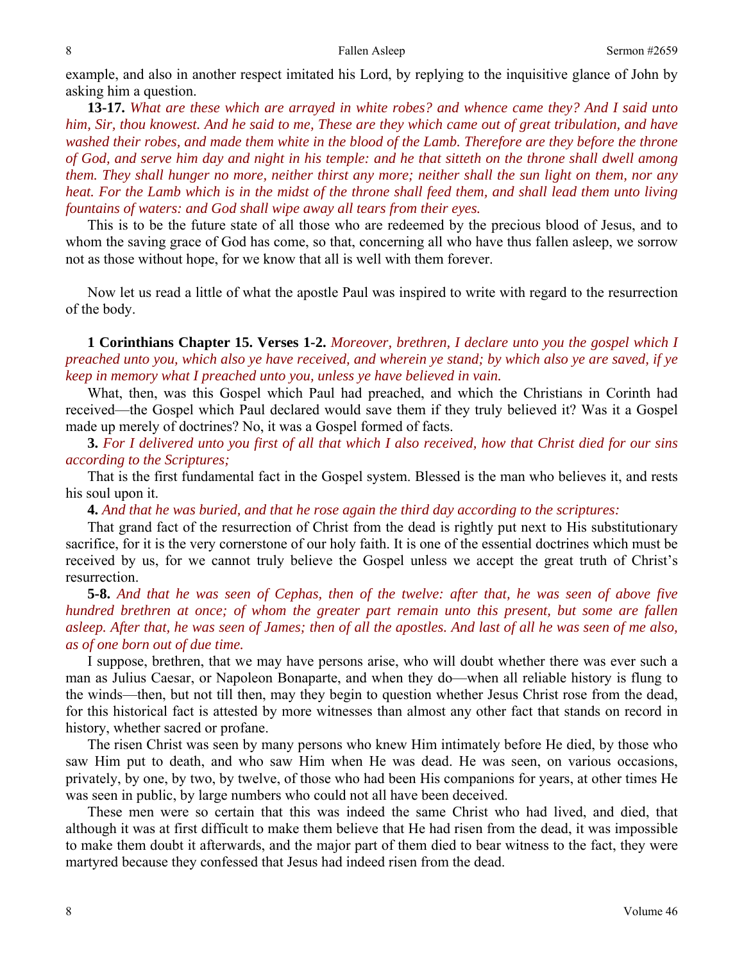example, and also in another respect imitated his Lord, by replying to the inquisitive glance of John by asking him a question.

**13-17.** *What are these which are arrayed in white robes? and whence came they? And I said unto him, Sir, thou knowest. And he said to me, These are they which came out of great tribulation, and have washed their robes, and made them white in the blood of the Lamb. Therefore are they before the throne of God, and serve him day and night in his temple: and he that sitteth on the throne shall dwell among them. They shall hunger no more, neither thirst any more; neither shall the sun light on them, nor any heat. For the Lamb which is in the midst of the throne shall feed them, and shall lead them unto living fountains of waters: and God shall wipe away all tears from their eyes.* 

This is to be the future state of all those who are redeemed by the precious blood of Jesus, and to whom the saving grace of God has come, so that, concerning all who have thus fallen asleep, we sorrow not as those without hope, for we know that all is well with them forever.

Now let us read a little of what the apostle Paul was inspired to write with regard to the resurrection of the body.

**1 Corinthians Chapter 15. Verses 1-2.** *Moreover, brethren, I declare unto you the gospel which I preached unto you, which also ye have received, and wherein ye stand; by which also ye are saved, if ye keep in memory what I preached unto you, unless ye have believed in vain.* 

What, then, was this Gospel which Paul had preached, and which the Christians in Corinth had received—the Gospel which Paul declared would save them if they truly believed it? Was it a Gospel made up merely of doctrines? No, it was a Gospel formed of facts.

**3.** *For I delivered unto you first of all that which I also received, how that Christ died for our sins according to the Scriptures;* 

That is the first fundamental fact in the Gospel system. Blessed is the man who believes it, and rests his soul upon it.

**4.** *And that he was buried, and that he rose again the third day according to the scriptures:* 

That grand fact of the resurrection of Christ from the dead is rightly put next to His substitutionary sacrifice, for it is the very cornerstone of our holy faith. It is one of the essential doctrines which must be received by us, for we cannot truly believe the Gospel unless we accept the great truth of Christ's resurrection.

**5-8.** *And that he was seen of Cephas, then of the twelve: after that, he was seen of above five hundred brethren at once; of whom the greater part remain unto this present, but some are fallen asleep. After that, he was seen of James; then of all the apostles. And last of all he was seen of me also, as of one born out of due time.* 

I suppose, brethren, that we may have persons arise, who will doubt whether there was ever such a man as Julius Caesar, or Napoleon Bonaparte, and when they do—when all reliable history is flung to the winds—then, but not till then, may they begin to question whether Jesus Christ rose from the dead, for this historical fact is attested by more witnesses than almost any other fact that stands on record in history, whether sacred or profane.

The risen Christ was seen by many persons who knew Him intimately before He died, by those who saw Him put to death, and who saw Him when He was dead. He was seen, on various occasions, privately, by one, by two, by twelve, of those who had been His companions for years, at other times He was seen in public, by large numbers who could not all have been deceived.

These men were so certain that this was indeed the same Christ who had lived, and died, that although it was at first difficult to make them believe that He had risen from the dead, it was impossible to make them doubt it afterwards, and the major part of them died to bear witness to the fact, they were martyred because they confessed that Jesus had indeed risen from the dead.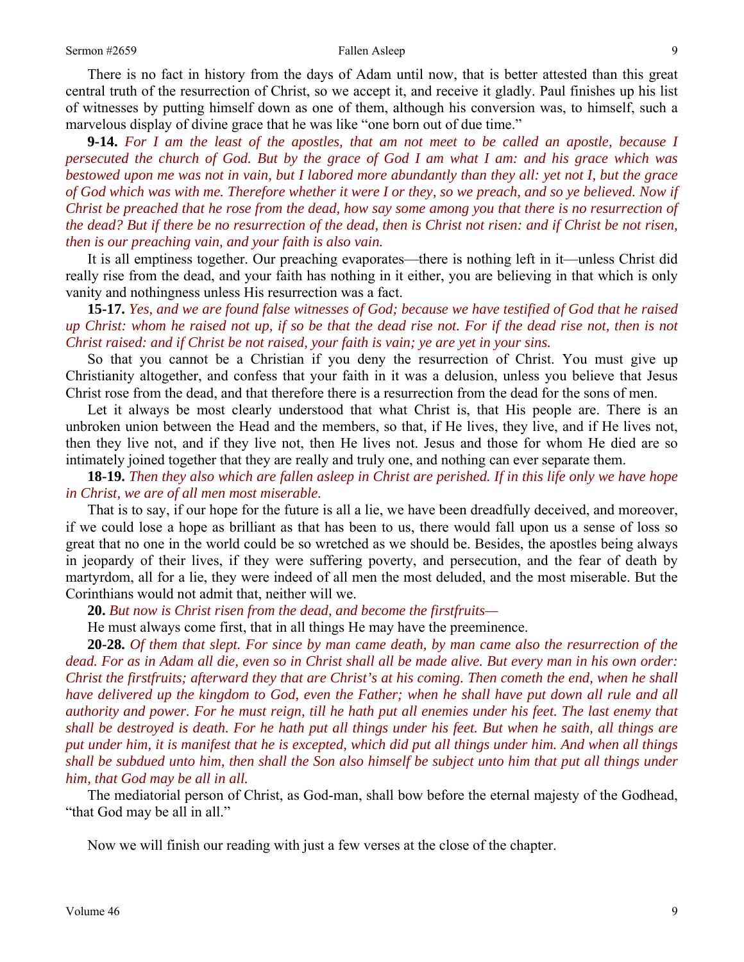There is no fact in history from the days of Adam until now, that is better attested than this great central truth of the resurrection of Christ, so we accept it, and receive it gladly. Paul finishes up his list of witnesses by putting himself down as one of them, although his conversion was, to himself, such a marvelous display of divine grace that he was like "one born out of due time."

**9-14.** *For I am the least of the apostles, that am not meet to be called an apostle, because I persecuted the church of God. But by the grace of God I am what I am: and his grace which was bestowed upon me was not in vain, but I labored more abundantly than they all: yet not I, but the grace of God which was with me. Therefore whether it were I or they, so we preach, and so ye believed. Now if Christ be preached that he rose from the dead, how say some among you that there is no resurrection of the dead? But if there be no resurrection of the dead, then is Christ not risen: and if Christ be not risen, then is our preaching vain, and your faith is also vain.* 

It is all emptiness together. Our preaching evaporates—there is nothing left in it—unless Christ did really rise from the dead, and your faith has nothing in it either, you are believing in that which is only vanity and nothingness unless His resurrection was a fact.

**15-17.** *Yes, and we are found false witnesses of God; because we have testified of God that he raised up Christ: whom he raised not up, if so be that the dead rise not. For if the dead rise not, then is not Christ raised: and if Christ be not raised, your faith is vain; ye are yet in your sins.* 

So that you cannot be a Christian if you deny the resurrection of Christ. You must give up Christianity altogether, and confess that your faith in it was a delusion, unless you believe that Jesus Christ rose from the dead, and that therefore there is a resurrection from the dead for the sons of men.

Let it always be most clearly understood that what Christ is, that His people are. There is an unbroken union between the Head and the members, so that, if He lives, they live, and if He lives not, then they live not, and if they live not, then He lives not. Jesus and those for whom He died are so intimately joined together that they are really and truly one, and nothing can ever separate them.

**18-19.** *Then they also which are fallen asleep in Christ are perished. If in this life only we have hope in Christ, we are of all men most miserable.* 

That is to say, if our hope for the future is all a lie, we have been dreadfully deceived, and moreover, if we could lose a hope as brilliant as that has been to us, there would fall upon us a sense of loss so great that no one in the world could be so wretched as we should be. Besides, the apostles being always in jeopardy of their lives, if they were suffering poverty, and persecution, and the fear of death by martyrdom, all for a lie, they were indeed of all men the most deluded, and the most miserable. But the Corinthians would not admit that, neither will we.

**20.** *But now is Christ risen from the dead, and become the firstfruits—* 

He must always come first, that in all things He may have the preeminence.

**20-28.** *Of them that slept. For since by man came death, by man came also the resurrection of the dead. For as in Adam all die, even so in Christ shall all be made alive. But every man in his own order: Christ the firstfruits; afterward they that are Christ's at his coming. Then cometh the end, when he shall have delivered up the kingdom to God, even the Father; when he shall have put down all rule and all authority and power. For he must reign, till he hath put all enemies under his feet. The last enemy that shall be destroyed is death. For he hath put all things under his feet. But when he saith, all things are put under him, it is manifest that he is excepted, which did put all things under him. And when all things shall be subdued unto him, then shall the Son also himself be subject unto him that put all things under him, that God may be all in all.* 

The mediatorial person of Christ, as God-man, shall bow before the eternal majesty of the Godhead, "that God may be all in all."

Now we will finish our reading with just a few verses at the close of the chapter.